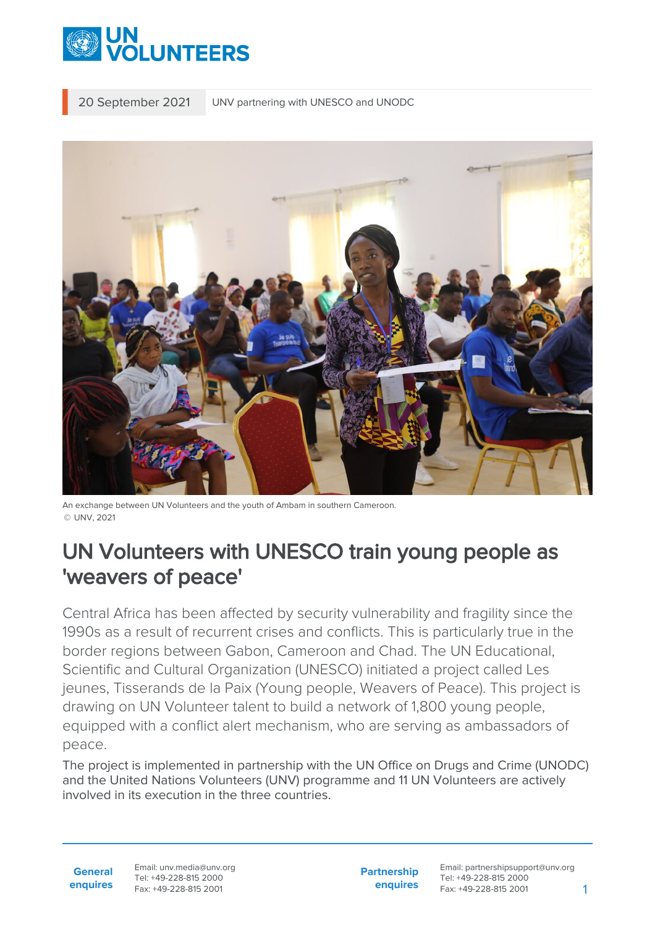

20 September 2021 UNV partnering with UNESCO and UNODC



An exchange between UN Volunteers and the youth of Ambam in southern Cameroon. © UNV, 2021

## UN Volunteers with UNESCO train young people as 'weavers of peace'

Central Africa has been affected by security vulnerability and fragility since the 1990s as a result of recurrent crises and conflicts. This is particularly true in the border regions between Gabon, Cameroon and Chad. The UN Educational, Scientific and Cultural Organization (UNESCO) initiated a project called Les jeunes, Tisserands de la Paix (Young people, Weavers of Peace). This project is drawing on UN Volunteer talent to build a network of 1,800 young people, equipped with a conflict alert mechanism, who are serving as ambassadors of peace.

The project is implemented in partnership with the UN Office on Drugs and Crime (UNODC) and the United Nations Volunteers (UNV) programme and 11 UN Volunteers are actively involved in its execution in the three countries.

Email: unv.media@unv.org Tel: +49-228-815 2000 Fax: +49-228-815 2001

**Partnership enquires**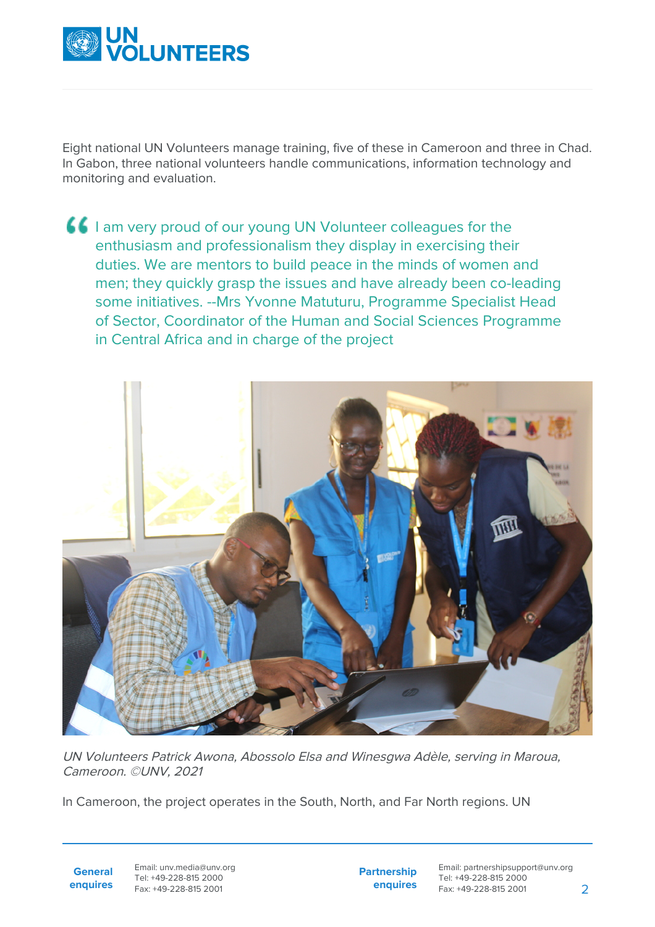

Eight national UN Volunteers manage training, five of these in Cameroon and three in Chad. In Gabon, three national volunteers handle communications, information technology and monitoring and evaluation.





UN Volunteers Patrick Awona, Abossolo Elsa and Winesgwa Adèle, serving in Maroua, Cameroon. ©UNV, 2021

In Cameroon, the project operates in the South, North, and Far North regions. UN

**General enquires** Email: unv.media@unv.org Tel: +49-228-815 2000 Fax: +49-228-815 2001

**Partnership enquires**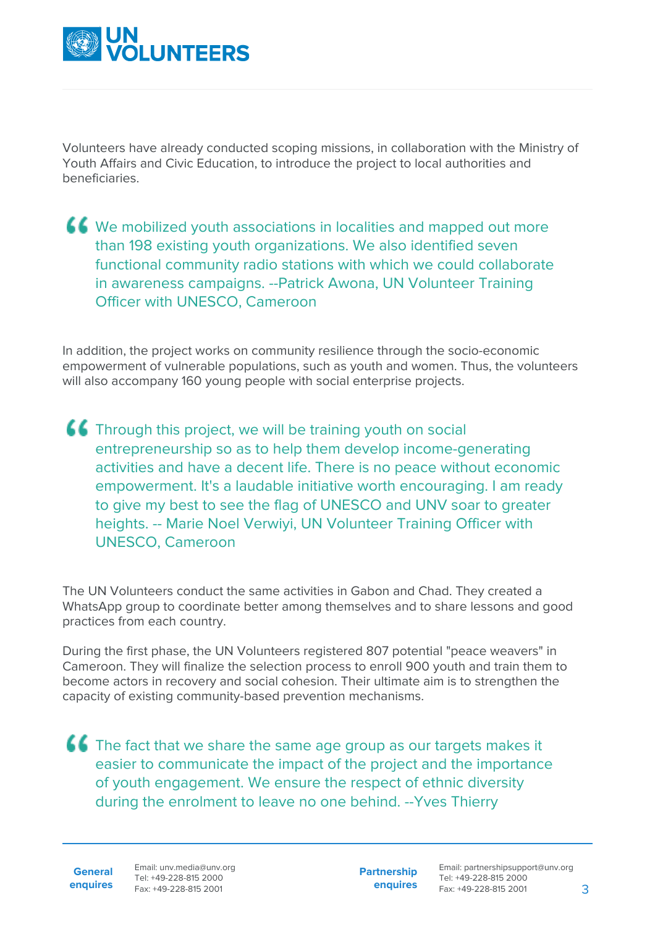

Volunteers have already conducted scoping missions, in collaboration with the Ministry of Youth Affairs and Civic Education, to introduce the project to local authorities and beneficiaries.

 $\left\{ \textbf{C} \right\}$  We mobilized youth associations in localities and mapped out more than 198 existing youth organizations. We also identified seven functional community radio stations with which we could collaborate in awareness campaigns. --Patrick Awona, UN Volunteer Training Officer with UNESCO, Cameroon

In addition, the project works on community resilience through the socio-economic empowerment of vulnerable populations, such as youth and women. Thus, the volunteers will also accompany 160 young people with social enterprise projects.

**CC** Through this project, we will be training youth on social entrepreneurship so as to help them develop income-generating activities and have a decent life. There is no peace without economic empowerment. It's a laudable initiative worth encouraging. I am ready to give my best to see the flag of UNESCO and UNV soar to greater heights. -- Marie Noel Verwiyi, UN Volunteer Training Officer with UNESCO, Cameroon

The UN Volunteers conduct the same activities in Gabon and Chad. They created a WhatsApp group to coordinate better among themselves and to share lessons and good practices from each country.

During the first phase, the UN Volunteers registered 807 potential "peace weavers" in Cameroon. They will finalize the selection process to enroll 900 youth and train them to become actors in recovery and social cohesion. Their ultimate aim is to strengthen the capacity of existing community-based prevention mechanisms.

**CC** The fact that we share the same age group as our targets makes it easier to communicate the impact of the project and the importance of youth engagement. We ensure the respect of ethnic diversity during the enrolment to leave no one behind. --Yves Thierry

**General**

**enquires** Tel: +49-228-815 2000 Fax: +49-228-815 2001 Email: unv.media@unv.org<br>Tel: +49-228-815 2000

**Partnership enquires**